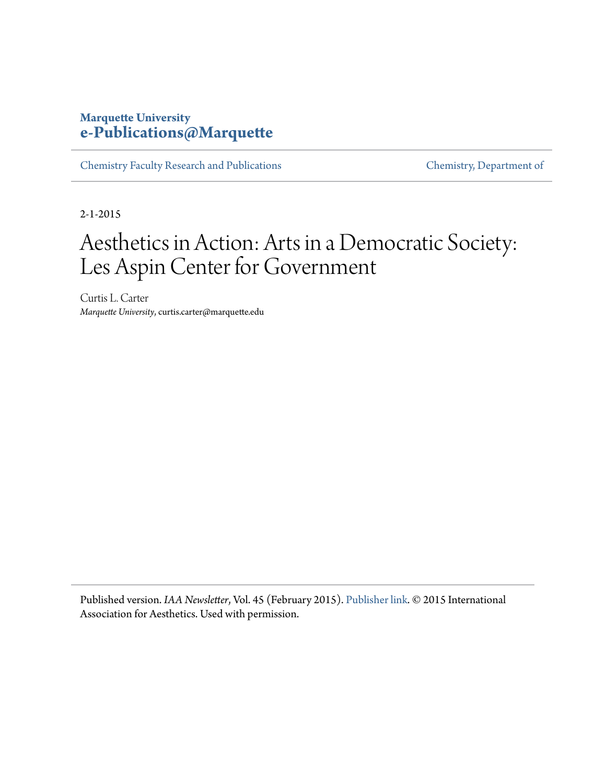#### **Marquette University [e-Publications@Marquette](https://epublications.marquette.edu)**

[Chemistry Faculty Research and Publications](https://epublications.marquette.edu/chem_fac) [Chemistry, Department of](https://epublications.marquette.edu/chemistry)

2-1-2015

## Aesthetics in Action: Arts in a Democratic Society: Les Aspin Center for Government

Curtis L. Carter *Marquette University*, curtis.carter@marquette.edu

Published version. *IAA Newsletter*, Vol. 45 (February 2015). [Publisher link.](http://www.iaaesthetics.org/item/118-iaa-newsletter-no-45-february-2015) © 2015 International Association for Aesthetics. Used with permission.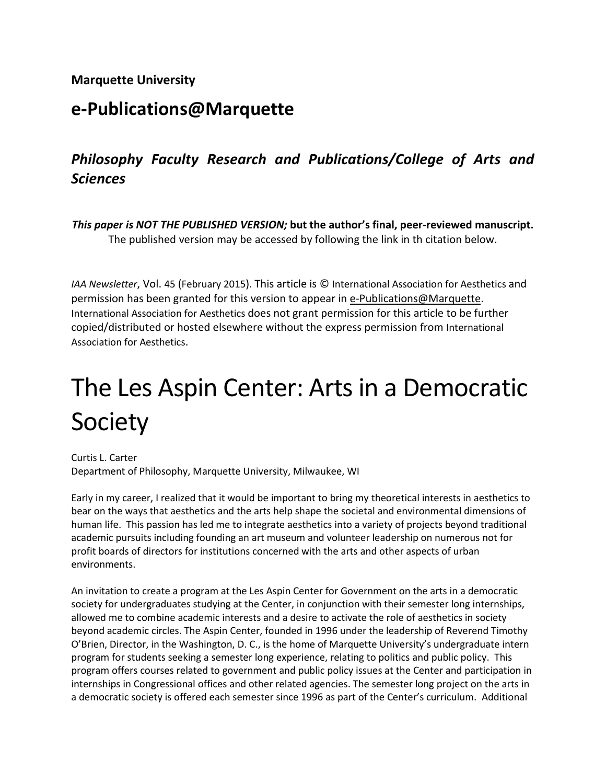#### **Marquette University**

## **e-Publications@Marquette**

### *Philosophy Faculty Research and Publications/College of Arts and Sciences*

*This paper is NOT THE PUBLISHED VERSION;* **but the author's final, peer-reviewed manuscript.**  The published version may be accessed by following the link in th citation below.

*IAA Newsletter*, Vol. 45 (February 2015). This article is © International Association for Aesthetics and permission has been granted for this version to appear in [e-Publications@Marquette.](http://epublications.marquette.edu/) International Association for Aesthetics does not grant permission for this article to be further copied/distributed or hosted elsewhere without the express permission from International Association for Aesthetics.

# The Les Aspin Center: Arts in a Democratic Society

Curtis L. Carter Department of Philosophy, Marquette University, Milwaukee, WI

Early in my career, I realized that it would be important to bring my theoretical interests in aesthetics to bear on the ways that aesthetics and the arts help shape the societal and environmental dimensions of human life. This passion has led me to integrate aesthetics into a variety of projects beyond traditional academic pursuits including founding an art museum and volunteer leadership on numerous not for profit boards of directors for institutions concerned with the arts and other aspects of urban environments.

An invitation to create a program at the Les Aspin Center for Government on the arts in a democratic society for undergraduates studying at the Center, in conjunction with their semester long internships, allowed me to combine academic interests and a desire to activate the role of aesthetics in society beyond academic circles. The Aspin Center, founded in 1996 under the leadership of Reverend Timothy O'Brien, Director, in the Washington, D. C., is the home of Marquette University's undergraduate intern program for students seeking a semester long experience, relating to politics and public policy. This program offers courses related to government and public policy issues at the Center and participation in internships in Congressional offices and other related agencies. The semester long project on the arts in a democratic society is offered each semester since 1996 as part of the Center's curriculum. Additional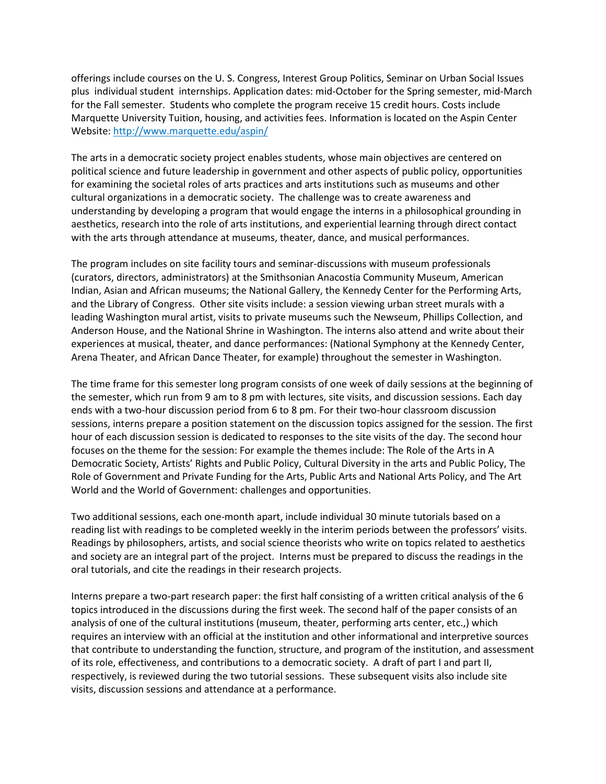offerings include courses on the U. S. Congress, Interest Group Politics, Seminar on Urban Social Issues plus individual student internships. Application dates: mid-October for the Spring semester, mid-March for the Fall semester. Students who complete the program receive 15 credit hours. Costs include Marquette University Tuition, housing, and activities fees. Information is located on the Aspin Center Website: <http://www.marquette.edu/aspin/>

The arts in a democratic society project enables students, whose main objectives are centered on political science and future leadership in government and other aspects of public policy, opportunities for examining the societal roles of arts practices and arts institutions such as museums and other cultural organizations in a democratic society. The challenge was to create awareness and understanding by developing a program that would engage the interns in a philosophical grounding in aesthetics, research into the role of arts institutions, and experiential learning through direct contact with the arts through attendance at museums, theater, dance, and musical performances.

The program includes on site facility tours and seminar-discussions with museum professionals (curators, directors, administrators) at the Smithsonian Anacostia Community Museum, American Indian, Asian and African museums; the National Gallery, the Kennedy Center for the Performing Arts, and the Library of Congress. Other site visits include: a session viewing urban street murals with a leading Washington mural artist, visits to private museums such the Newseum, Phillips Collection, and Anderson House, and the National Shrine in Washington. The interns also attend and write about their experiences at musical, theater, and dance performances: (National Symphony at the Kennedy Center, Arena Theater, and African Dance Theater, for example) throughout the semester in Washington.

The time frame for this semester long program consists of one week of daily sessions at the beginning of the semester, which run from 9 am to 8 pm with lectures, site visits, and discussion sessions. Each day ends with a two-hour discussion period from 6 to 8 pm. For their two-hour classroom discussion sessions, interns prepare a position statement on the discussion topics assigned for the session. The first hour of each discussion session is dedicated to responses to the site visits of the day. The second hour focuses on the theme for the session: For example the themes include: The Role of the Arts in A Democratic Society, Artists' Rights and Public Policy, Cultural Diversity in the arts and Public Policy, The Role of Government and Private Funding for the Arts, Public Arts and National Arts Policy, and The Art World and the World of Government: challenges and opportunities.

Two additional sessions, each one-month apart, include individual 30 minute tutorials based on a reading list with readings to be completed weekly in the interim periods between the professors' visits. Readings by philosophers, artists, and social science theorists who write on topics related to aesthetics and society are an integral part of the project. Interns must be prepared to discuss the readings in the oral tutorials, and cite the readings in their research projects.

Interns prepare a two-part research paper: the first half consisting of a written critical analysis of the 6 topics introduced in the discussions during the first week. The second half of the paper consists of an analysis of one of the cultural institutions (museum, theater, performing arts center, etc.,) which requires an interview with an official at the institution and other informational and interpretive sources that contribute to understanding the function, structure, and program of the institution, and assessment of its role, effectiveness, and contributions to a democratic society. A draft of part I and part II, respectively, is reviewed during the two tutorial sessions. These subsequent visits also include site visits, discussion sessions and attendance at a performance.